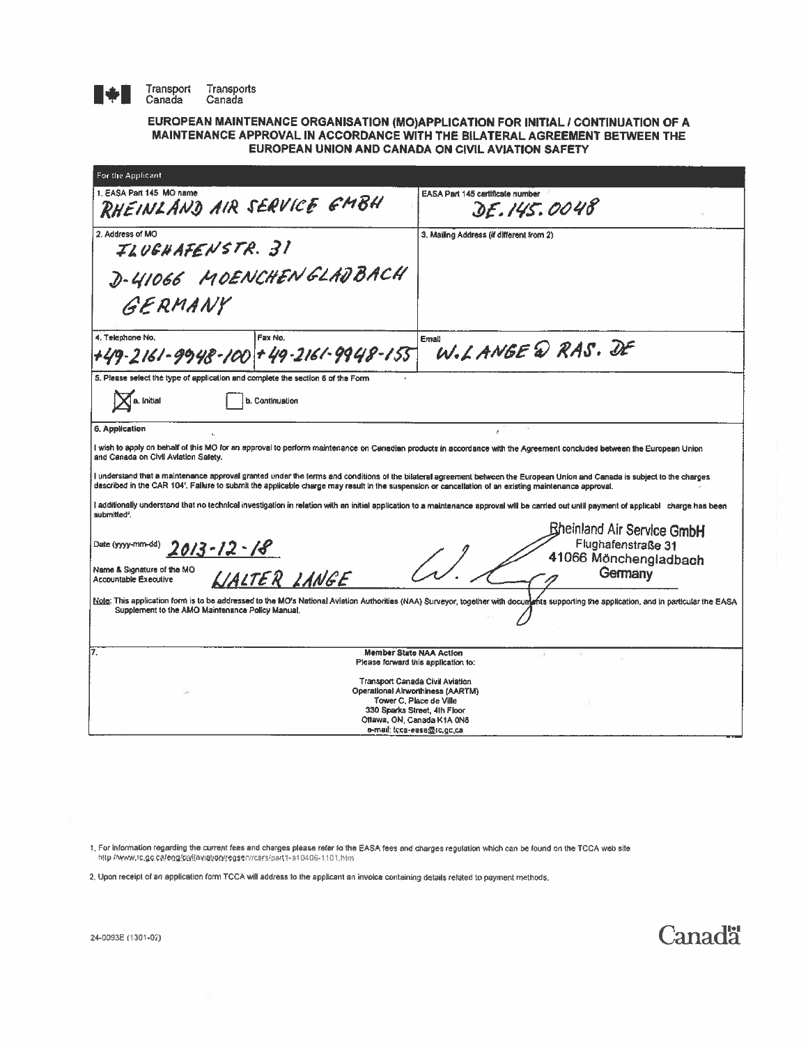

**IFRANSPORT Transports**<br> **I** Canada Canada

## EUROPEAN MAINTENANCE ORGANISATION (MO)APPLICATION FOR INITIAL I CONTINUATION OF A MAINTENANCE APPROVAL IN ACCORDANCE WITH THE BILATERAL AGREEMENT BETWEEN THE EUROPEAN UNION AND CANADA ON CIVIL AVIATION SAFETY

| For the Applicant                                                                                                                                                                                                                                                                                                                  |                                                                                                                                                                                             |
|------------------------------------------------------------------------------------------------------------------------------------------------------------------------------------------------------------------------------------------------------------------------------------------------------------------------------------|---------------------------------------------------------------------------------------------------------------------------------------------------------------------------------------------|
| 1. EASA Part 145 MO name<br>RHEINLAND AIR SERVICE EMBH                                                                                                                                                                                                                                                                             | EASA Part 145 certificate number<br>DE.145.0048                                                                                                                                             |
| 2. Address of MO<br>ILUGHAFENSTR. 31                                                                                                                                                                                                                                                                                               | 3. Mailing Address (if different from 2)                                                                                                                                                    |
| D-41066 MOENCHENGLADBACH<br>GERMANY                                                                                                                                                                                                                                                                                                |                                                                                                                                                                                             |
| 4. Telephone No.<br>Fax No.                                                                                                                                                                                                                                                                                                        | Email                                                                                                                                                                                       |
| +49-2161-9948-100 +49-2161-9948-155                                                                                                                                                                                                                                                                                                | W.LANGE @ RAS. DE                                                                                                                                                                           |
| 5. Please select the type of application and complete the section 6 of the Form                                                                                                                                                                                                                                                    |                                                                                                                                                                                             |
| a. Initial<br>b. Continuation                                                                                                                                                                                                                                                                                                      |                                                                                                                                                                                             |
| 6. Application                                                                                                                                                                                                                                                                                                                     |                                                                                                                                                                                             |
| I wish to apply on behalf of this MO for an approval to perform maintenance on Canadian products in accordance with the Agreement concluded between the European Union<br>and Canada on Civil Aviation Safety,                                                                                                                     |                                                                                                                                                                                             |
| I understand that a maintenance approval granted under the terms and conditions of the bilateral agreement between the European Union and Canada is subject to the charges<br>described in the CAR 104'. Failure to submit the applicable charge may result in the suspension or cancellation of an existing maintenance approval. |                                                                                                                                                                                             |
| I additionally understand that no technical investigation in relation with an initial application to a maintenance approval will be carried out until payment of applicabl charge has been<br>submitted <sup>2</sup> .                                                                                                             |                                                                                                                                                                                             |
| Date (yyyy-mm-dd)<br>$2013 - 12 - 18$                                                                                                                                                                                                                                                                                              | <b>Bheinland Air Service GmbH</b><br>Flughafenstraße 31<br>41066 Mönchengladbach<br>$\left( \frac{\ }{\ }$                                                                                  |
| Name & Signature of the MO<br>LIALTER LANGE<br><b>Accountable Executive</b>                                                                                                                                                                                                                                                        | Germany                                                                                                                                                                                     |
| Supplement to the AMO Maintenance Policy Manual.                                                                                                                                                                                                                                                                                   | Note: This application form is to be addressed to the MO's National Aviation Authorities (NAA) Surveyor, together with documents supporting the application, and in particular the EASA     |
| 7.<br><b>Member State NAA Action</b>                                                                                                                                                                                                                                                                                               | Please forward this application to:                                                                                                                                                         |
|                                                                                                                                                                                                                                                                                                                                    | Transport Canada Civil Aviation<br>Operational Airworthiness (AARTM)<br>Tower C, Place de Ville<br>330 Sparks Street, 4th Floor<br>Ottawa, ON, Canada K1A 0N8<br>e-mail: tcca-easa@tc.gc.ca |

1, For information regarding the current fees and charges please refer 10 the EASA fees and charges regulation which can be lound on the TCCA web ste http://www.tc.gc.ca/eng/cwilaviation/regserv/cars/part1-a1040G-1101,html

2. Upon receipt of an application form TCCA will address to the applicant an invoice containing details related to payment methods.

**Canadä**